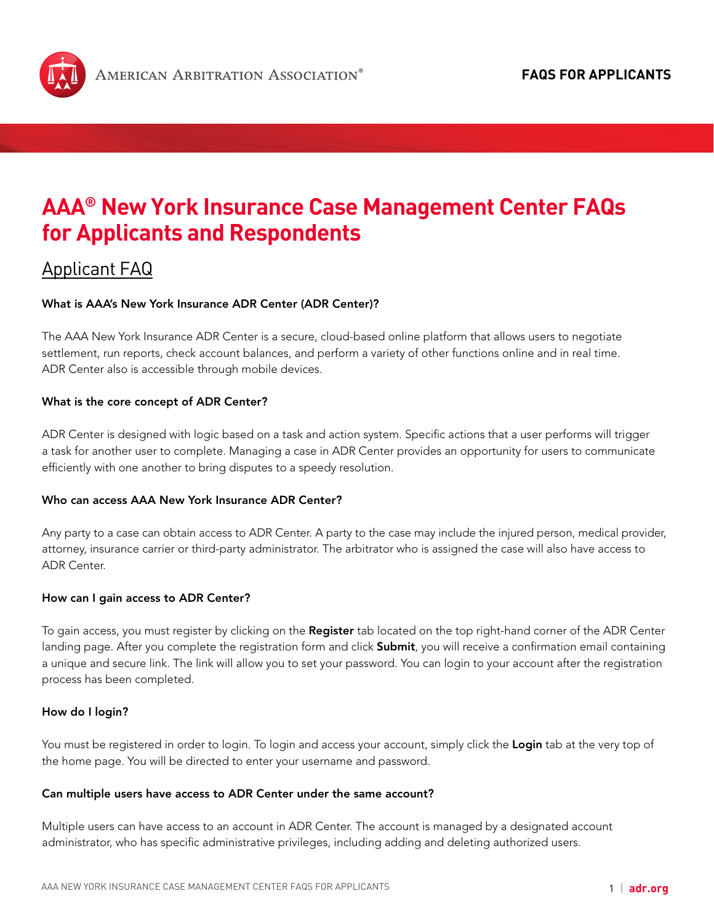<span id="page-0-0"></span>

# **AAA® New York Insurance Case Management Center FAQs for Applicants and [Respondents](#page-13-0)**

## Applicant FAQ

## What is AAA's New York Insurance ADR Center (ADR Center)?

The AAA New York Insurance ADR Center is a secure, cloud-based online platform that allows users to negotiate settlement, run reports, check account balances, and perform a variety of other functions online and in real time. ADR Center also is accessible through mobile devices.

## What is the core concept of ADR Center?

ADR Center is designed with logic based on a task and action system. Specific actions that a user performs will trigger a task for another user to complete. Managing a case in ADR Center provides an opportunity for users to communicate efficiently with one another to bring disputes to a speedy resolution.

## Who can access AAA New York Insurance ADR Center?

Any party to a case can obtain access to ADR Center. A party to the case may include the injured person, medical provider, attorney, insurance carrier or third-party administrator. The arbitrator who is assigned the case will also have access to ADR Center.

#### How can I gain access to ADR Center?

To gain access, you must register by clicking on the Register tab located on the top right-hand corner of the ADR Center landing page. After you complete the registration form and click Submit, you will receive a confirmation email containing a unique and secure link. The link will allow you to set your password. You can login to your account after the registration process has been completed.

#### How do I login?

You must be registered in order to login. To login and access your account, simply click the Login tab at the very top of the home page. You will be directed to enter your username and password.

#### Can multiple users have access to ADR Center under the same account?

Multiple users can have access to an account in ADR Center. The account is managed by a designated account administrator, who has specific administrative privileges, including adding and deleting authorized users.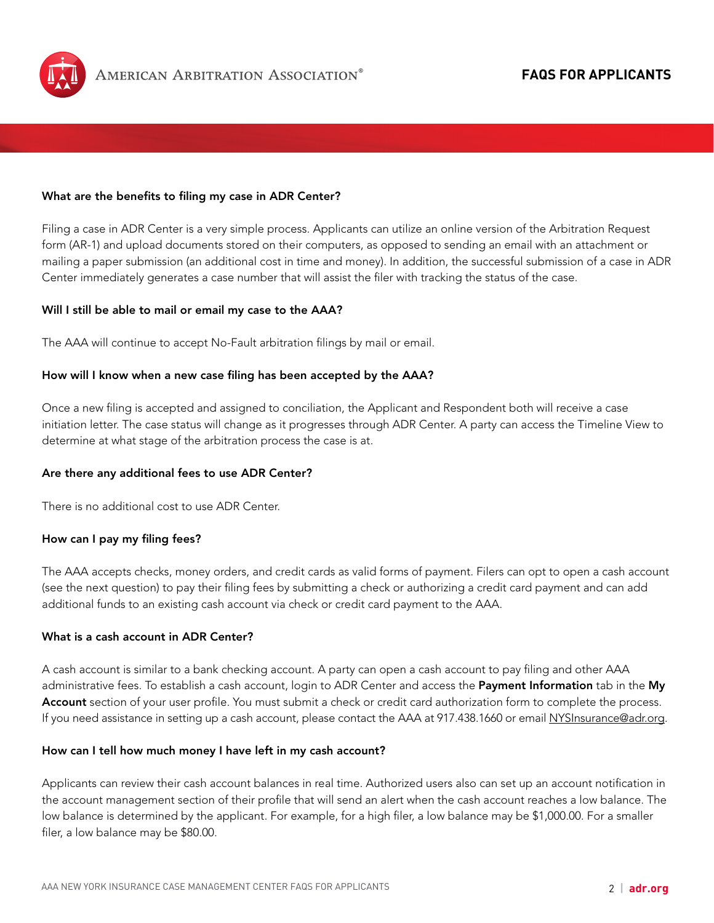

### What are the benefits to filing my case in ADR Center?

Filing a case in ADR Center is a very simple process. Applicants can utilize an online version of the Arbitration Request form (AR-1) and upload documents stored on their computers, as opposed to sending an email with an attachment or mailing a paper submission (an additional cost in time and money). In addition, the successful submission of a case in ADR Center immediately generates a case number that will assist the filer with tracking the status of the case.

#### Will I still be able to mail or email my case to the AAA?

The AAA will continue to accept No-Fault arbitration filings by mail or email.

#### How will I know when a new case filing has been accepted by the AAA?

Once a new filing is accepted and assigned to conciliation, the Applicant and Respondent both will receive a case initiation letter. The case status will change as it progresses through ADR Center. A party can access the Timeline View to determine at what stage of the arbitration process the case is at.

#### Are there any additional fees to use ADR Center?

There is no additional cost to use ADR Center.

#### How can I pay my filing fees?

The AAA accepts checks, money orders, and credit cards as valid forms of payment. Filers can opt to open a cash account (see the next question) to pay their filing fees by submitting a check or authorizing a credit card payment and can add additional funds to an existing cash account via check or credit card payment to the AAA.

#### What is a cash account in ADR Center?

A cash account is similar to a bank checking account. A party can open a cash account to pay filing and other AAA administrative fees. To establish a cash account, login to ADR Center and access the Payment Information tab in the My Account section of your user profile. You must submit a check or credit card authorization form to complete the process. If you need assistance in setting up a cash account, please contact the AAA at 917.438.1660 or email [NYSInsurance@adr.org](mailto:NYSInsurance@adr.org).

#### How can I tell how much money I have left in my cash account?

Applicants can review their cash account balances in real time. Authorized users also can set up an account notification in the account management section of their profile that will send an alert when the cash account reaches a low balance. The low balance is determined by the applicant. For example, for a high filer, a low balance may be \$1,000.00. For a smaller filer, a low balance may be \$80.00.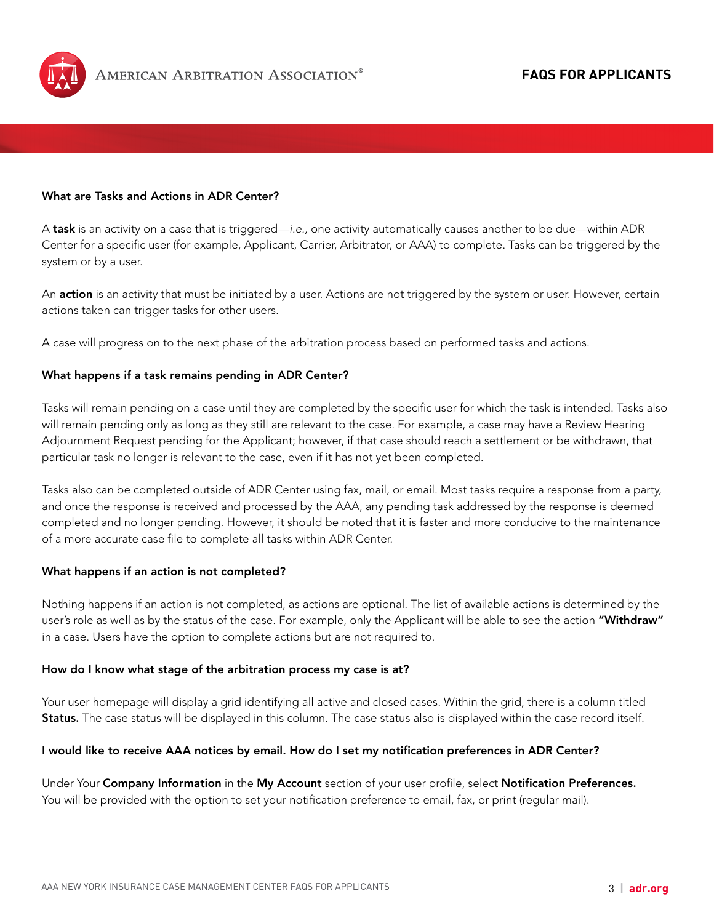

#### What are Tasks and Actions in ADR Center?

A task is an activity on a case that is triggered—*i.e.,* one activity automatically causes another to be due—within ADR Center for a specific user (for example, Applicant, Carrier, Arbitrator, or AAA) to complete. Tasks can be triggered by the system or by a user.

An action is an activity that must be initiated by a user. Actions are not triggered by the system or user. However, certain actions taken can trigger tasks for other users.

A case will progress on to the next phase of the arbitration process based on performed tasks and actions.

## What happens if a task remains pending in ADR Center?

Tasks will remain pending on a case until they are completed by the specific user for which the task is intended. Tasks also will remain pending only as long as they still are relevant to the case. For example, a case may have a Review Hearing Adjournment Request pending for the Applicant; however, if that case should reach a settlement or be withdrawn, that particular task no longer is relevant to the case, even if it has not yet been completed.

Tasks also can be completed outside of ADR Center using fax, mail, or email. Most tasks require a response from a party, and once the response is received and processed by the AAA, any pending task addressed by the response is deemed completed and no longer pending. However, it should be noted that it is faster and more conducive to the maintenance of a more accurate case file to complete all tasks within ADR Center.

#### What happens if an action is not completed?

Nothing happens if an action is not completed, as actions are optional. The list of available actions is determined by the user's role as well as by the status of the case. For example, only the Applicant will be able to see the action "Withdraw" in a case. Users have the option to complete actions but are not required to.

#### How do I know what stage of the arbitration process my case is at?

Your user homepage will display a grid identifying all active and closed cases. Within the grid, there is a column titled Status. The case status will be displayed in this column. The case status also is displayed within the case record itself.

#### I would like to receive AAA notices by email. How do I set my notification preferences in ADR Center?

Under Your Company Information in the My Account section of your user profile, select Notification Preferences. You will be provided with the option to set your notification preference to email, fax, or print (regular mail).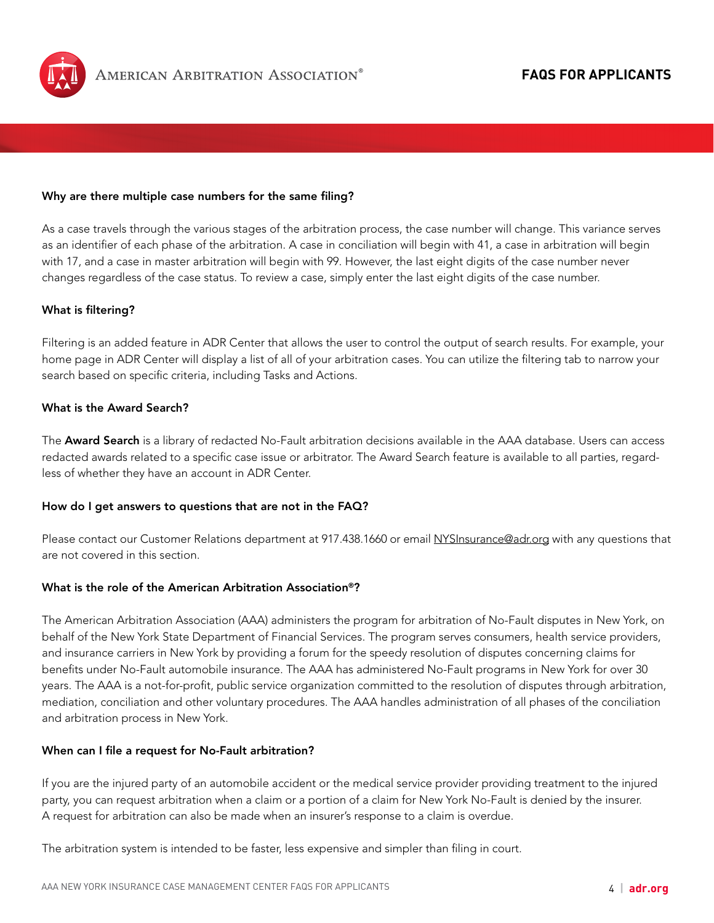

#### Why are there multiple case numbers for the same filing?

As a case travels through the various stages of the arbitration process, the case number will change. This variance serves as an identifier of each phase of the arbitration. A case in conciliation will begin with 41, a case in arbitration will begin with 17, and a case in master arbitration will begin with 99. However, the last eight digits of the case number never changes regardless of the case status. To review a case, simply enter the last eight digits of the case number.

#### What is filtering?

Filtering is an added feature in ADR Center that allows the user to control the output of search results. For example, your home page in ADR Center will display a list of all of your arbitration cases. You can utilize the filtering tab to narrow your search based on specific criteria, including Tasks and Actions.

## What is the Award Search?

The Award Search is a library of redacted No-Fault arbitration decisions available in the AAA database. Users can access redacted awards related to a specific case issue or arbitrator. The Award Search feature is available to all parties, regardless of whether they have an account in ADR Center.

#### How do I get answers to questions that are not in the FAQ?

Please contact our Customer Relations department at 917.438.1660 or email [NYSInsurance@adr.org](mailto:NYSInsurance@adr.org) with any questions that are not covered in this section.

#### What is the role of the American Arbitration Association®?

The American Arbitration Association (AAA) administers the program for arbitration of No-Fault disputes in New York, on behalf of the New York State Department of Financial Services. The program serves consumers, health service providers, and insurance carriers in New York by providing a forum for the speedy resolution of disputes concerning claims for benefits under No-Fault automobile insurance. The AAA has administered No-Fault programs in New York for over 30 years. The AAA is a not-for-profit, public service organization committed to the resolution of disputes through arbitration, mediation, conciliation and other voluntary procedures. The AAA handles administration of all phases of the conciliation and arbitration process in New York.

#### When can I file a request for No-Fault arbitration?

If you are the injured party of an automobile accident or the medical service provider providing treatment to the injured party, you can request arbitration when a claim or a portion of a claim for New York No-Fault is denied by the insurer. A request for arbitration can also be made when an insurer's response to a claim is overdue.

The arbitration system is intended to be faster, less expensive and simpler than filing in court.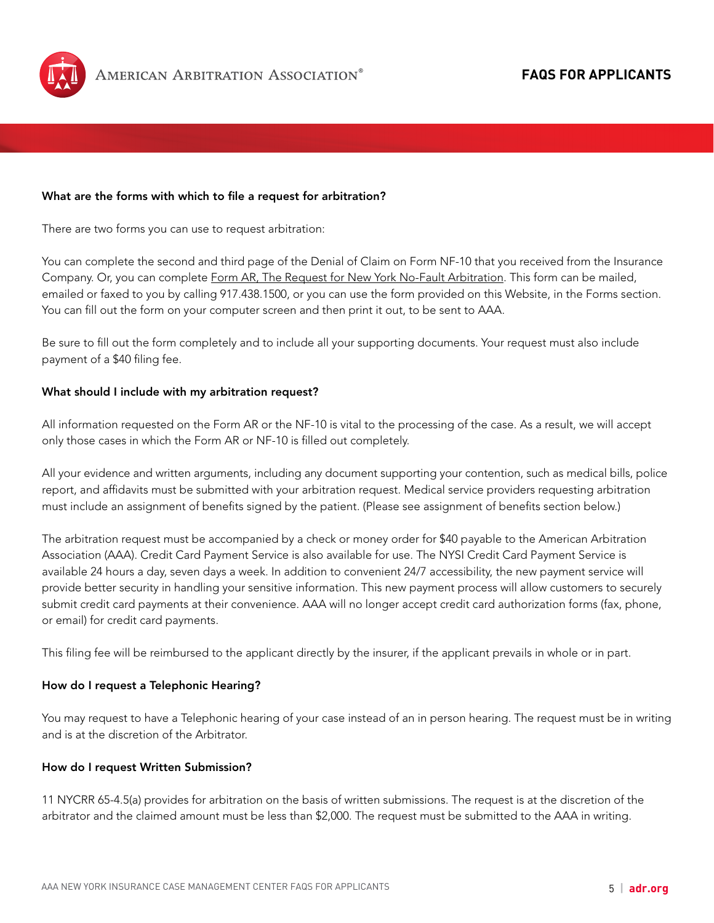

#### What are the forms with which to file a request for arbitration?

There are two forms you can use to request arbitration:

You can complete the second and third page of the Denial of Claim on Form NF-10 that you received from the Insurance Company. Or, you can complete [Form AR, The Request for New York No-Fault Arbitration](https://nysinsurance.adr.org/sites/default/files/document_repository/AR1_Form.pdf). This form can be mailed, emailed or faxed to you by calling 917.438.1500, or you can use the form provided on this Website, in the Forms section. You can fill out the form on your computer screen and then print it out, to be sent to AAA.

Be sure to fill out the form completely and to include all your supporting documents. Your request must also include payment of a \$40 filing fee.

#### What should I include with my arbitration request?

All information requested on the Form AR or the NF-10 is vital to the processing of the case. As a result, we will accept only those cases in which the Form AR or NF-10 is filled out completely.

All your evidence and written arguments, including any document supporting your contention, such as medical bills, police report, and affidavits must be submitted with your arbitration request. Medical service providers requesting arbitration must include an assignment of benefits signed by the patient. (Please see assignment of benefits section below.)

The arbitration request must be accompanied by a check or money order for \$40 payable to the American Arbitration Association (AAA). Credit Card Payment Service is also available for use. The NYSI Credit Card Payment Service is available 24 hours a day, seven days a week. In addition to convenient 24/7 accessibility, the new payment service will provide better security in handling your sensitive information. This new payment process will allow customers to securely submit credit card payments at their convenience. AAA will no longer accept credit card authorization forms (fax, phone, or email) for credit card payments.

This filing fee will be reimbursed to the applicant directly by the insurer, if the applicant prevails in whole or in part.

#### How do I request a Telephonic Hearing?

You may request to have a Telephonic hearing of your case instead of an in person hearing. The request must be in writing and is at the discretion of the Arbitrator.

#### How do I request Written Submission?

11 NYCRR 65-4.5(a) provides for arbitration on the basis of written submissions. The request is at the discretion of the arbitrator and the claimed amount must be less than \$2,000. The request must be submitted to the AAA in writing.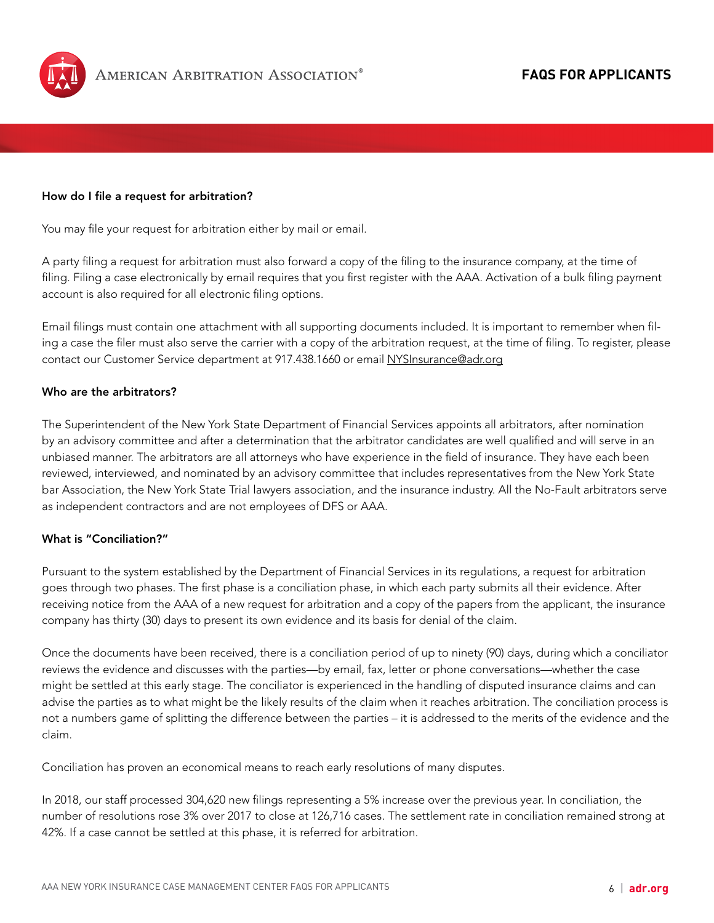

#### How do I file a request for arbitration?

You may file your request for arbitration either by mail or email.

A party filing a request for arbitration must also forward a copy of the filing to the insurance company, at the time of filing. Filing a case electronically by email requires that you first register with the AAA. Activation of a bulk filing payment account is also required for all electronic filing options.

Email filings must contain one attachment with all supporting documents included. It is important to remember when filing a case the filer must also serve the carrier with a copy of the arbitration request, at the time of filing. To register, please contact our Customer Service department at 917.438.1660 or email [NYSInsurance@adr.org](mailto:NYSInsurance@adr.org)

## Who are the arbitrators?

The Superintendent of the New York State Department of Financial Services appoints all arbitrators, after nomination by an advisory committee and after a determination that the arbitrator candidates are well qualified and will serve in an unbiased manner. The arbitrators are all attorneys who have experience in the field of insurance. They have each been reviewed, interviewed, and nominated by an advisory committee that includes representatives from the New York State bar Association, the New York State Trial lawyers association, and the insurance industry. All the No-Fault arbitrators serve as independent contractors and are not employees of DFS or AAA.

## What is "Conciliation?"

Pursuant to the system established by the Department of Financial Services in its regulations, a request for arbitration goes through two phases. The first phase is a conciliation phase, in which each party submits all their evidence. After receiving notice from the AAA of a new request for arbitration and a copy of the papers from the applicant, the insurance company has thirty (30) days to present its own evidence and its basis for denial of the claim.

Once the documents have been received, there is a conciliation period of up to ninety (90) days, during which a conciliator reviews the evidence and discusses with the parties—by email, fax, letter or phone conversations—whether the case might be settled at this early stage. The conciliator is experienced in the handling of disputed insurance claims and can advise the parties as to what might be the likely results of the claim when it reaches arbitration. The conciliation process is not a numbers game of splitting the difference between the parties – it is addressed to the merits of the evidence and the claim.

Conciliation has proven an economical means to reach early resolutions of many disputes.

In 2018, our staff processed 304,620 new filings representing a 5% increase over the previous year. In conciliation, the number of resolutions rose 3% over 2017 to close at 126,716 cases. The settlement rate in conciliation remained strong at 42%. If a case cannot be settled at this phase, it is referred for arbitration.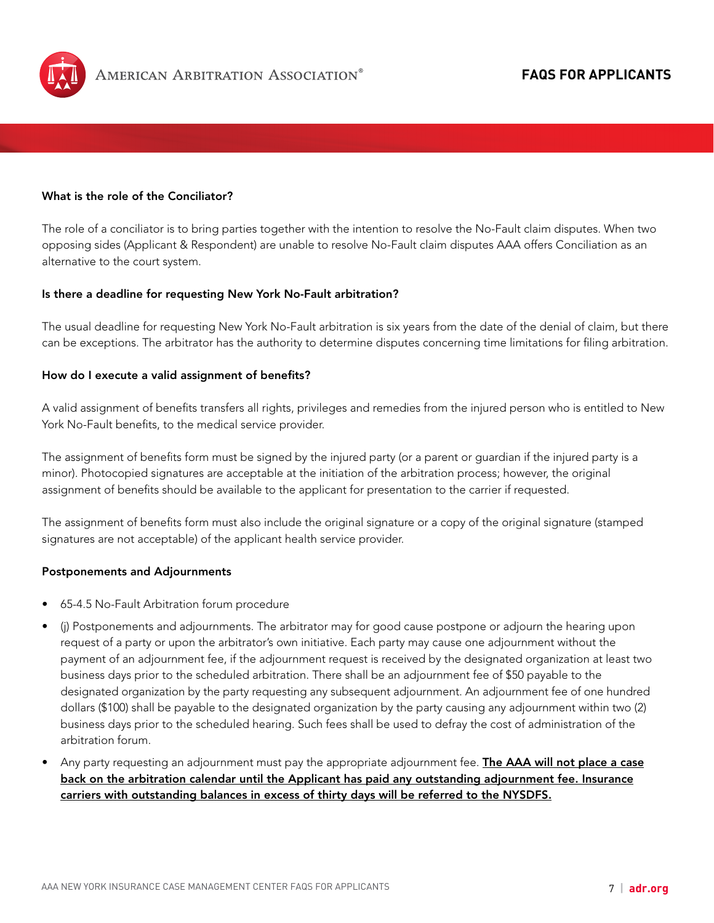

## What is the role of the Conciliator?

The role of a conciliator is to bring parties together with the intention to resolve the No-Fault claim disputes. When two opposing sides (Applicant & Respondent) are unable to resolve No-Fault claim disputes AAA offers Conciliation as an alternative to the court system.

#### Is there a deadline for requesting New York No-Fault arbitration?

The usual deadline for requesting New York No-Fault arbitration is six years from the date of the denial of claim, but there can be exceptions. The arbitrator has the authority to determine disputes concerning time limitations for filing arbitration.

#### How do I execute a valid assignment of benefits?

A valid assignment of benefits transfers all rights, privileges and remedies from the injured person who is entitled to New York No-Fault benefits, to the medical service provider.

The assignment of benefits form must be signed by the injured party (or a parent or guardian if the injured party is a minor). Photocopied signatures are acceptable at the initiation of the arbitration process; however, the original assignment of benefits should be available to the applicant for presentation to the carrier if requested.

The assignment of benefits form must also include the original signature or a copy of the original signature (stamped signatures are not acceptable) of the applicant health service provider.

#### Postponements and Adjournments

- 65-4.5 No-Fault Arbitration forum procedure
- (j) Postponements and adjournments. The arbitrator may for good cause postpone or adjourn the hearing upon request of a party or upon the arbitrator's own initiative. Each party may cause one adjournment without the payment of an adjournment fee, if the adjournment request is received by the designated organization at least two business days prior to the scheduled arbitration. There shall be an adjournment fee of \$50 payable to the designated organization by the party requesting any subsequent adjournment. An adjournment fee of one hundred dollars (\$100) shall be payable to the designated organization by the party causing any adjournment within two (2) business days prior to the scheduled hearing. Such fees shall be used to defray the cost of administration of the arbitration forum.
- Any party requesting an adjournment must pay the appropriate adjournment fee. **The AAA will not place a case** back on the arbitration calendar until the Applicant has paid any outstanding adjournment fee. Insurance carriers with outstanding balances in excess of thirty days will be referred to the NYSDFS.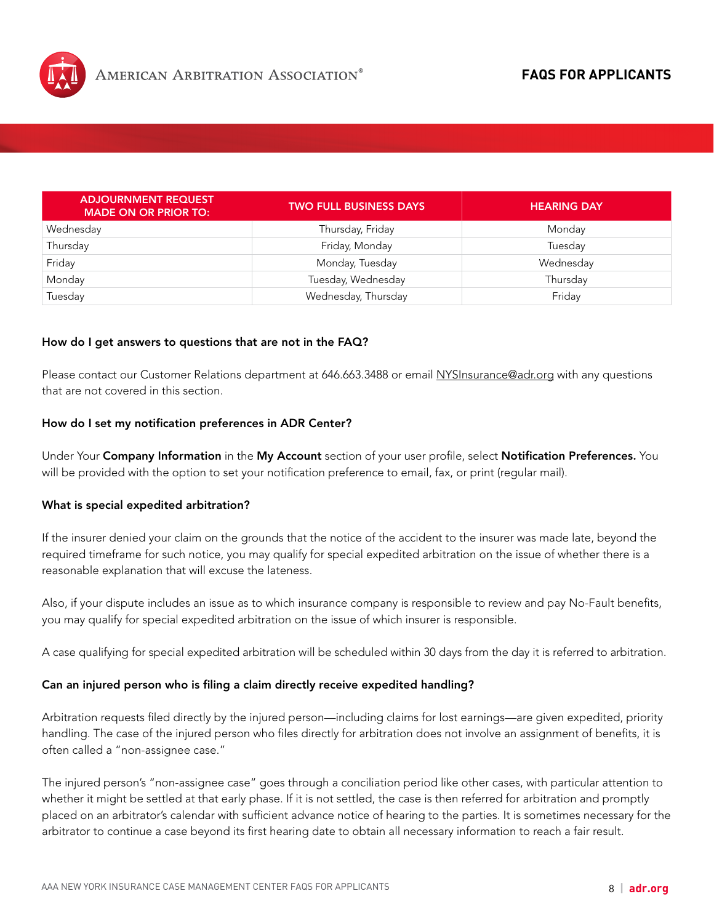

| <b>ADJOURNMENT REQUEST</b><br><b>MADE ON OR PRIOR TO:</b> | <b>TWO FULL BUSINESS DAYS</b> | <b>HEARING DAY</b> |
|-----------------------------------------------------------|-------------------------------|--------------------|
| Wednesday                                                 | Thursday, Friday              | Monday             |
| Thursday                                                  | Friday, Monday                | Tuesday            |
| Friday                                                    | Monday, Tuesday               | Wednesday          |
| Monday                                                    | Tuesday, Wednesday            | Thursday           |
| Tuesday                                                   | Wednesday, Thursday           | Friday             |

#### How do I get answers to questions that are not in the FAQ?

Please contact our Customer Relations department at 646.663.3488 or email [NYSInsurance@adr.org](mailto:NYSInsurance@adr.org) with any questions that are not covered in this section.

#### How do I set my notification preferences in ADR Center?

Under Your Company Information in the My Account section of your user profile, select Notification Preferences. You will be provided with the option to set your notification preference to email, fax, or print (regular mail).

#### What is special expedited arbitration?

If the insurer denied your claim on the grounds that the notice of the accident to the insurer was made late, beyond the required timeframe for such notice, you may qualify for special expedited arbitration on the issue of whether there is a reasonable explanation that will excuse the lateness.

Also, if your dispute includes an issue as to which insurance company is responsible to review and pay No-Fault benefits, you may qualify for special expedited arbitration on the issue of which insurer is responsible.

A case qualifying for special expedited arbitration will be scheduled within 30 days from the day it is referred to arbitration.

#### Can an injured person who is filing a claim directly receive expedited handling?

Arbitration requests filed directly by the injured person—including claims for lost earnings—are given expedited, priority handling. The case of the injured person who files directly for arbitration does not involve an assignment of benefits, it is often called a "non-assignee case."

The injured person's "non-assignee case" goes through a conciliation period like other cases, with particular attention to whether it might be settled at that early phase. If it is not settled, the case is then referred for arbitration and promptly placed on an arbitrator's calendar with sufficient advance notice of hearing to the parties. It is sometimes necessary for the arbitrator to continue a case beyond its first hearing date to obtain all necessary information to reach a fair result.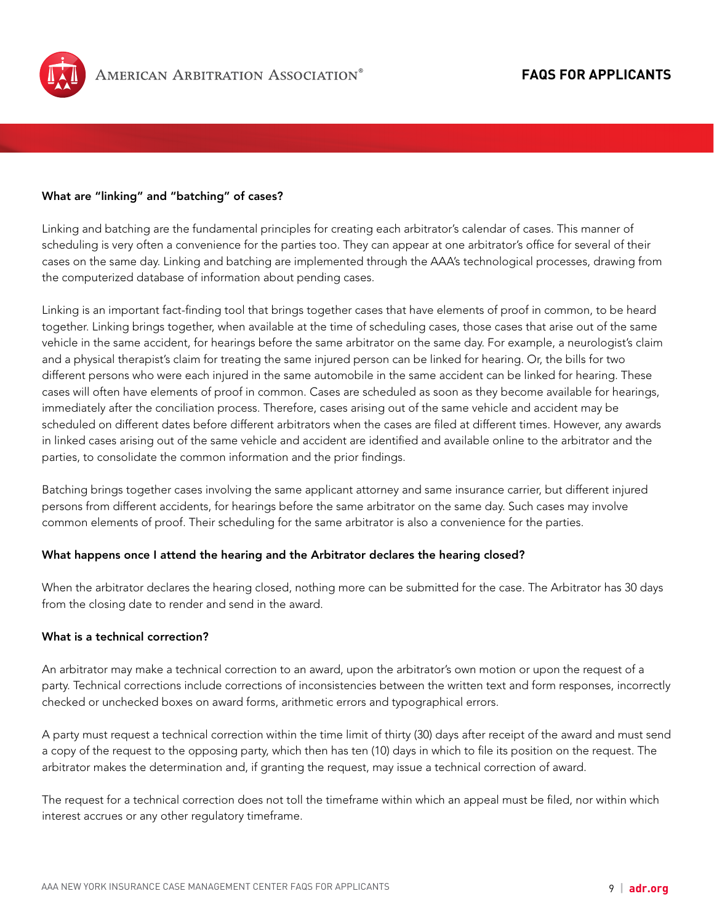

## What are "linking" and "batching" of cases?

Linking and batching are the fundamental principles for creating each arbitrator's calendar of cases. This manner of scheduling is very often a convenience for the parties too. They can appear at one arbitrator's office for several of their cases on the same day. Linking and batching are implemented through the AAA's technological processes, drawing from the computerized database of information about pending cases.

Linking is an important fact-finding tool that brings together cases that have elements of proof in common, to be heard together. Linking brings together, when available at the time of scheduling cases, those cases that arise out of the same vehicle in the same accident, for hearings before the same arbitrator on the same day. For example, a neurologist's claim and a physical therapist's claim for treating the same injured person can be linked for hearing. Or, the bills for two different persons who were each injured in the same automobile in the same accident can be linked for hearing. These cases will often have elements of proof in common. Cases are scheduled as soon as they become available for hearings, immediately after the conciliation process. Therefore, cases arising out of the same vehicle and accident may be scheduled on different dates before different arbitrators when the cases are filed at different times. However, any awards in linked cases arising out of the same vehicle and accident are identified and available online to the arbitrator and the parties, to consolidate the common information and the prior findings.

Batching brings together cases involving the same applicant attorney and same insurance carrier, but different injured persons from different accidents, for hearings before the same arbitrator on the same day. Such cases may involve common elements of proof. Their scheduling for the same arbitrator is also a convenience for the parties.

#### What happens once I attend the hearing and the Arbitrator declares the hearing closed?

When the arbitrator declares the hearing closed, nothing more can be submitted for the case. The Arbitrator has 30 days from the closing date to render and send in the award.

## What is a technical correction?

An arbitrator may make a technical correction to an award, upon the arbitrator's own motion or upon the request of a party. Technical corrections include corrections of inconsistencies between the written text and form responses, incorrectly checked or unchecked boxes on award forms, arithmetic errors and typographical errors.

A party must request a technical correction within the time limit of thirty (30) days after receipt of the award and must send a copy of the request to the opposing party, which then has ten (10) days in which to file its position on the request. The arbitrator makes the determination and, if granting the request, may issue a technical correction of award.

The request for a technical correction does not toll the timeframe within which an appeal must be filed, nor within which interest accrues or any other regulatory timeframe.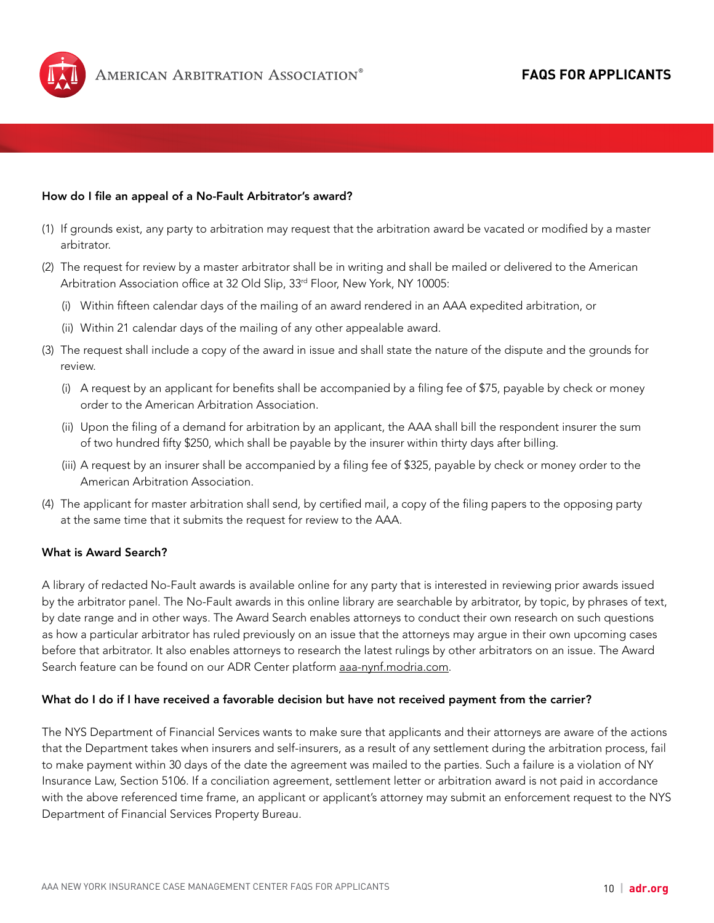

### How do I file an appeal of a No-Fault Arbitrator's award?

- (1) If grounds exist, any party to arbitration may request that the arbitration award be vacated or modified by a master arbitrator.
- (2) The request for review by a master arbitrator shall be in writing and shall be mailed or delivered to the American Arbitration Association office at 32 Old Slip, 33<sup>rd</sup> Floor, New York, NY 10005:
	- (i) Within fifteen calendar days of the mailing of an award rendered in an AAA expedited arbitration, or
	- (ii) Within 21 calendar days of the mailing of any other appealable award.
- (3) The request shall include a copy of the award in issue and shall state the nature of the dispute and the grounds for review.
	- (i) A request by an applicant for benefits shall be accompanied by a filing fee of \$75, payable by check or money order to the American Arbitration Association.
	- (ii) Upon the filing of a demand for arbitration by an applicant, the AAA shall bill the respondent insurer the sum of two hundred fifty \$250, which shall be payable by the insurer within thirty days after billing.
	- (iii) A request by an insurer shall be accompanied by a filing fee of \$325, payable by check or money order to the American Arbitration Association.
- (4) The applicant for master arbitration shall send, by certified mail, a copy of the filing papers to the opposing party at the same time that it submits the request for review to the AAA.

## What is Award Search?

A library of redacted No-Fault awards is available online for any party that is interested in reviewing prior awards issued by the arbitrator panel. The No-Fault awards in this online library are searchable by arbitrator, by topic, by phrases of text, by date range and in other ways. The Award Search enables attorneys to conduct their own research on such questions as how a particular arbitrator has ruled previously on an issue that the attorneys may argue in their own upcoming cases before that arbitrator. It also enables attorneys to research the latest rulings by other arbitrators on an issue. The Award Search feature can be found on our ADR Center platform [aaa-nynf.modria.com.](http://aaa-nynf.modria.com)

#### What do I do if I have received a favorable decision but have not received payment from the carrier?

The NYS Department of Financial Services wants to make sure that applicants and their attorneys are aware of the actions that the Department takes when insurers and self-insurers, as a result of any settlement during the arbitration process, fail to make payment within 30 days of the date the agreement was mailed to the parties. Such a failure is a violation of NY Insurance Law, Section 5106. If a conciliation agreement, settlement letter or arbitration award is not paid in accordance with the above referenced time frame, an applicant or applicant's attorney may submit an enforcement request to the NYS Department of Financial Services Property Bureau.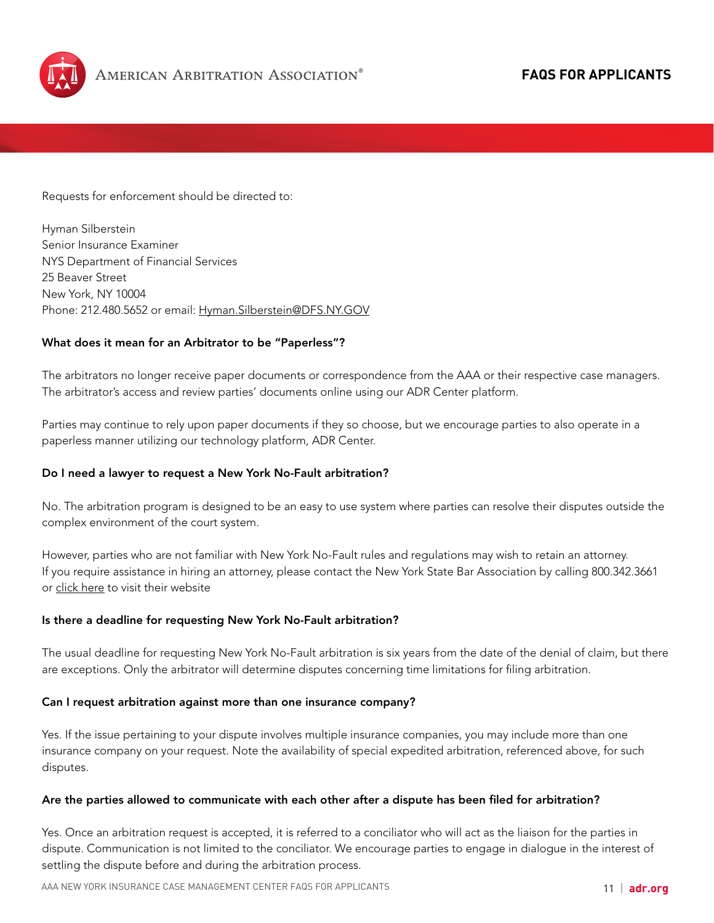

Requests for enforcement should be directed to:

Hyman Silberstein Senior Insurance Examiner NYS Department of Financial Services 25 Beaver Street New York, NY 10004 Phone: 212.480.5652 or email: [Hyman.Silberstein@DFS.NY.GOV](mailto:Hyman.Silberstein@DFS.NY.GOV)

## What does it mean for an Arbitrator to be "Paperless"?

The arbitrators no longer receive paper documents or correspondence from the AAA or their respective case managers. The arbitrator's access and review parties' documents online using our ADR Center platform.

Parties may continue to rely upon paper documents if they so choose, but we encourage parties to also operate in a paperless manner utilizing our technology platform, ADR Center.

#### Do I need a lawyer to request a New York No-Fault arbitration?

No. The arbitration program is designed to be an easy to use system where parties can resolve their disputes outside the complex environment of the court system.

However, parties who are not familiar with New York No-Fault rules and regulations may wish to retain an attorney. If you require assistance in hiring an attorney, please contact the New York State Bar Association by calling 800.342.3661 or [click here](http://www.nysba.org/) to visit their website

#### Is there a deadline for requesting New York No-Fault arbitration?

The usual deadline for requesting New York No-Fault arbitration is six years from the date of the denial of claim, but there are exceptions. Only the arbitrator will determine disputes concerning time limitations for filing arbitration.

#### Can I request arbitration against more than one insurance company?

Yes. If the issue pertaining to your dispute involves multiple insurance companies, you may include more than one insurance company on your request. Note the availability of special expedited arbitration, referenced above, for such disputes.

#### Are the parties allowed to communicate with each other after a dispute has been filed for arbitration?

Yes. Once an arbitration request is accepted, it is referred to a conciliator who will act as the liaison for the parties in dispute. Communication is not limited to the conciliator. We encourage parties to engage in dialogue in the interest of settling the dispute before and during the arbitration process.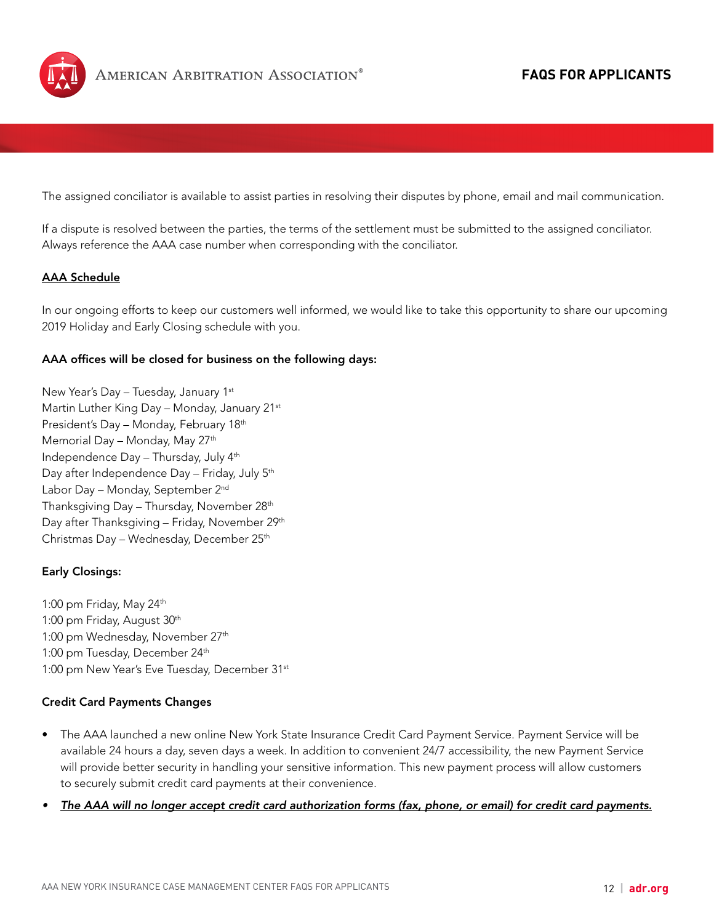

The assigned conciliator is available to assist parties in resolving their disputes by phone, email and mail communication.

If a dispute is resolved between the parties, the terms of the settlement must be submitted to the assigned conciliator. Always reference the AAA case number when corresponding with the conciliator.

## AAA Schedule

In our ongoing efforts to keep our customers well informed, we would like to take this opportunity to share our upcoming 2019 Holiday and Early Closing schedule with you.

## AAA offices will be closed for business on the following days:

New Year's Day - Tuesday, January 1st Martin Luther King Day - Monday, January 21st President's Day – Monday, February 18th Memorial Day - Monday, May 27<sup>th</sup> Independence Day – Thursday, July 4th Day after Independence Day - Friday, July 5<sup>th</sup> Labor Day – Monday, September 2<sup>nd</sup> Thanksgiving Day - Thursday, November 28<sup>th</sup> Day after Thanksgiving - Friday, November 29<sup>th</sup> Christmas Day - Wednesday, December 25<sup>th</sup>

## Early Closings:

1:00 pm Friday, May 24th 1:00 pm Friday, August 30<sup>th</sup> 1:00 pm Wednesday, November 27<sup>th</sup> 1:00 pm Tuesday, December 24<sup>th</sup> 1:00 pm New Year's Eve Tuesday, December 31st

## Credit Card Payments Changes

- The AAA launched a new online New York State Insurance Credit Card Payment Service. Payment Service will be available 24 hours a day, seven days a week. In addition to convenient 24/7 accessibility, the new Payment Service will provide better security in handling your sensitive information. This new payment process will allow customers to securely submit credit card payments at their convenience.
- *• The AAA will no longer accept credit card authorization forms (fax, phone, or email) for credit card payments.*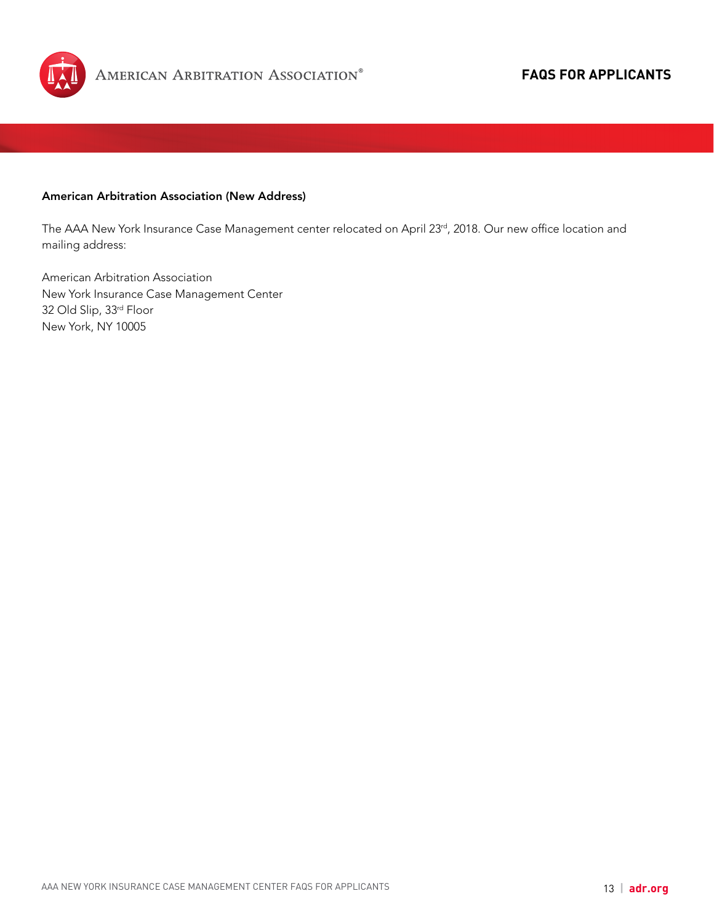

## American Arbitration Association (New Address)

The AAA New York Insurance Case Management center relocated on April 23rd, 2018. Our new office location and mailing address:

American Arbitration Association New York Insurance Case Management Center 32 Old Slip, 33rd Floor New York, NY 10005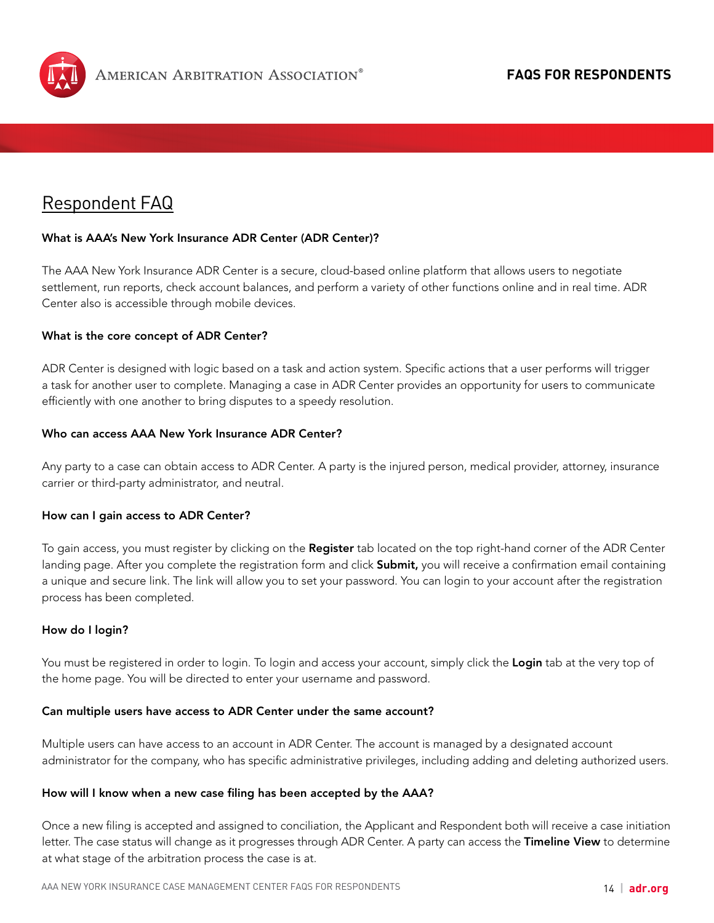<span id="page-13-0"></span>

## Respondent FAQ

## What is AAA's New York Insurance ADR Center (ADR Center)?

The AAA New York Insurance ADR Center is a secure, cloud-based online platform that allows users to negotiate settlement, run reports, check account balances, and perform a variety of other functions online and in real time. ADR Center also is accessible through mobile devices.

## What is the core concept of ADR Center?

ADR Center is designed with logic based on a task and action system. Specific actions that a user performs will trigger a task for another user to complete. Managing a case in ADR Center provides an opportunity for users to communicate efficiently with one another to bring disputes to a speedy resolution.

#### Who can access AAA New York Insurance ADR Center?

Any party to a case can obtain access to ADR Center. A party is the injured person, medical provider, attorney, insurance carrier or third-party administrator, and neutral.

#### How can I gain access to ADR Center?

To gain access, you must register by clicking on the Register tab located on the top right-hand corner of the ADR Center landing page. After you complete the registration form and click **Submit**, you will receive a confirmation email containing a unique and secure link. The link will allow you to set your password. You can login to your account after the registration process has been completed.

#### How do I login?

You must be registered in order to login. To login and access your account, simply click the Login tab at the very top of the home page. You will be directed to enter your username and password.

#### Can multiple users have access to ADR Center under the same account?

Multiple users can have access to an account in ADR Center. The account is managed by a designated account administrator for the company, who has specific administrative privileges, including adding and deleting authorized users.

#### How will I know when a new case filing has been accepted by the AAA?

Once a new filing is accepted and assigned to conciliation, the Applicant and Respondent both will receive a case initiation letter. The case status will change as it progresses through ADR Center. A party can access the Timeline View to determine at what stage of the arbitration process the case is at.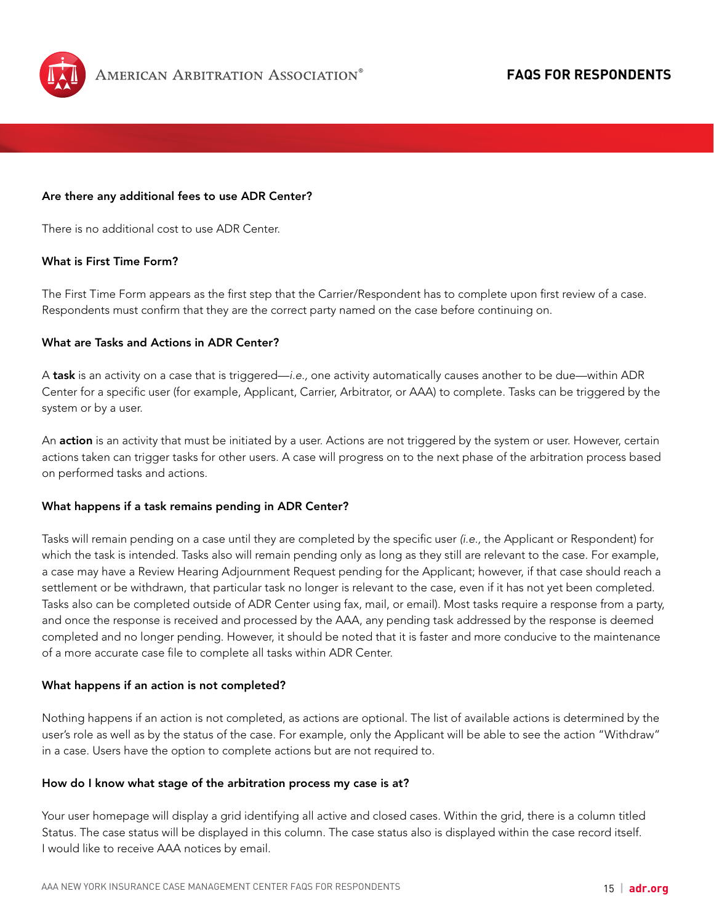

#### Are there any additional fees to use ADR Center?

There is no additional cost to use ADR Center.

#### What is First Time Form?

The First Time Form appears as the first step that the Carrier/Respondent has to complete upon first review of a case. Respondents must confirm that they are the correct party named on the case before continuing on.

## What are Tasks and Actions in ADR Center?

A task is an activity on a case that is triggered—*i.e.,* one activity automatically causes another to be due—within ADR Center for a specific user (for example, Applicant, Carrier, Arbitrator, or AAA) to complete. Tasks can be triggered by the system or by a user.

An action is an activity that must be initiated by a user. Actions are not triggered by the system or user. However, certain actions taken can trigger tasks for other users. A case will progress on to the next phase of the arbitration process based on performed tasks and actions.

#### What happens if a task remains pending in ADR Center?

Tasks will remain pending on a case until they are completed by the specific user *(i.e.,* the Applicant or Respondent) for which the task is intended. Tasks also will remain pending only as long as they still are relevant to the case. For example, a case may have a Review Hearing Adjournment Request pending for the Applicant; however, if that case should reach a settlement or be withdrawn, that particular task no longer is relevant to the case, even if it has not yet been completed. Tasks also can be completed outside of ADR Center using fax, mail, or email). Most tasks require a response from a party, and once the response is received and processed by the AAA, any pending task addressed by the response is deemed completed and no longer pending. However, it should be noted that it is faster and more conducive to the maintenance of a more accurate case file to complete all tasks within ADR Center.

#### What happens if an action is not completed?

Nothing happens if an action is not completed, as actions are optional. The list of available actions is determined by the user's role as well as by the status of the case. For example, only the Applicant will be able to see the action "Withdraw" in a case. Users have the option to complete actions but are not required to.

#### How do I know what stage of the arbitration process my case is at?

Your user homepage will display a grid identifying all active and closed cases. Within the grid, there is a column titled Status. The case status will be displayed in this column. The case status also is displayed within the case record itself. I would like to receive AAA notices by email.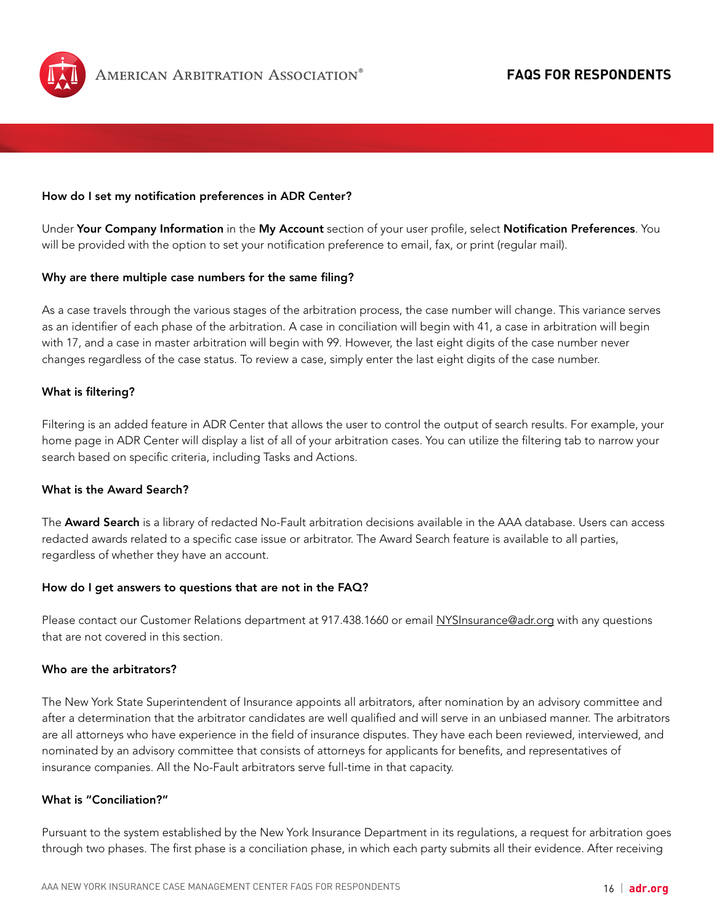

#### How do I set my notification preferences in ADR Center?

Under Your Company Information in the My Account section of your user profile, select Notification Preferences. You will be provided with the option to set your notification preference to email, fax, or print (regular mail).

#### Why are there multiple case numbers for the same filing?

As a case travels through the various stages of the arbitration process, the case number will change. This variance serves as an identifier of each phase of the arbitration. A case in conciliation will begin with 41, a case in arbitration will begin with 17, and a case in master arbitration will begin with 99. However, the last eight digits of the case number never changes regardless of the case status. To review a case, simply enter the last eight digits of the case number.

#### What is filtering?

Filtering is an added feature in ADR Center that allows the user to control the output of search results. For example, your home page in ADR Center will display a list of all of your arbitration cases. You can utilize the filtering tab to narrow your search based on specific criteria, including Tasks and Actions.

#### What is the Award Search?

The **Award Search** is a library of redacted No-Fault arbitration decisions available in the AAA database. Users can access redacted awards related to a specific case issue or arbitrator. The Award Search feature is available to all parties, regardless of whether they have an account.

#### How do I get answers to questions that are not in the FAQ?

Please contact our Customer Relations department at 917.438.1660 or email [NYSInsurance@adr.org](mailto:NYSInsurance@adr.org) with any questions that are not covered in this section.

#### Who are the arbitrators?

The New York State Superintendent of Insurance appoints all arbitrators, after nomination by an advisory committee and after a determination that the arbitrator candidates are well qualified and will serve in an unbiased manner. The arbitrators are all attorneys who have experience in the field of insurance disputes. They have each been reviewed, interviewed, and nominated by an advisory committee that consists of attorneys for applicants for benefits, and representatives of insurance companies. All the No-Fault arbitrators serve full-time in that capacity.

#### What is "Conciliation?"

Pursuant to the system established by the New York Insurance Department in its regulations, a request for arbitration goes through two phases. The first phase is a conciliation phase, in which each party submits all their evidence. After receiving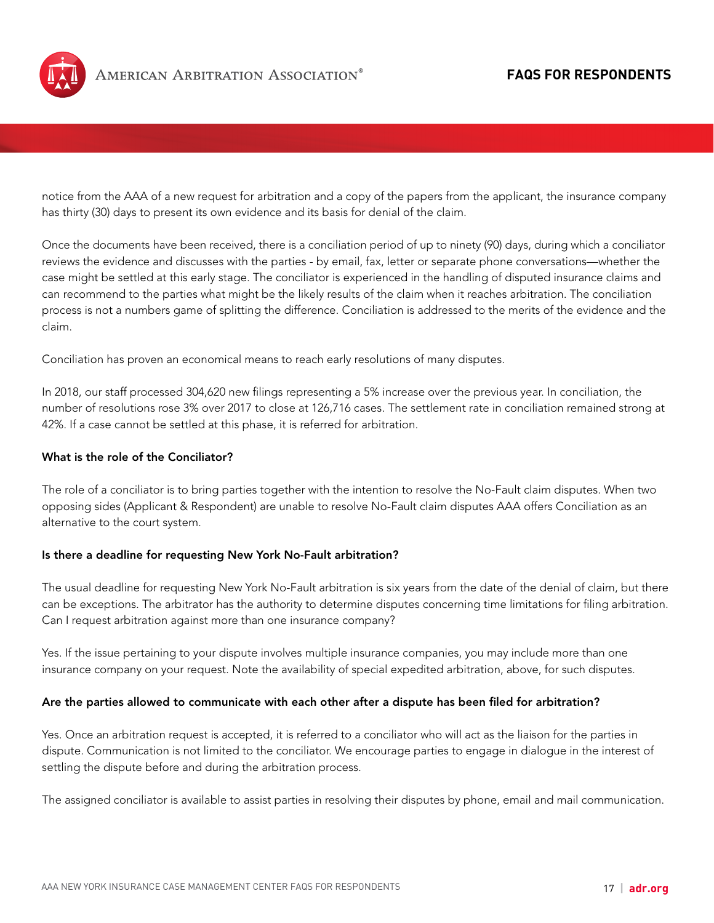

notice from the AAA of a new request for arbitration and a copy of the papers from the applicant, the insurance company has thirty (30) days to present its own evidence and its basis for denial of the claim.

Once the documents have been received, there is a conciliation period of up to ninety (90) days, during which a conciliator reviews the evidence and discusses with the parties - by email, fax, letter or separate phone conversations—whether the case might be settled at this early stage. The conciliator is experienced in the handling of disputed insurance claims and can recommend to the parties what might be the likely results of the claim when it reaches arbitration. The conciliation process is not a numbers game of splitting the difference. Conciliation is addressed to the merits of the evidence and the claim.

Conciliation has proven an economical means to reach early resolutions of many disputes.

In 2018, our staff processed 304,620 new filings representing a 5% increase over the previous year. In conciliation, the number of resolutions rose 3% over 2017 to close at 126,716 cases. The settlement rate in conciliation remained strong at 42%. If a case cannot be settled at this phase, it is referred for arbitration.

### What is the role of the Conciliator?

The role of a conciliator is to bring parties together with the intention to resolve the No-Fault claim disputes. When two opposing sides (Applicant & Respondent) are unable to resolve No-Fault claim disputes AAA offers Conciliation as an alternative to the court system.

#### Is there a deadline for requesting New York No-Fault arbitration?

The usual deadline for requesting New York No-Fault arbitration is six years from the date of the denial of claim, but there can be exceptions. The arbitrator has the authority to determine disputes concerning time limitations for filing arbitration. Can I request arbitration against more than one insurance company?

Yes. If the issue pertaining to your dispute involves multiple insurance companies, you may include more than one insurance company on your request. Note the availability of special expedited arbitration, above, for such disputes.

#### Are the parties allowed to communicate with each other after a dispute has been filed for arbitration?

Yes. Once an arbitration request is accepted, it is referred to a conciliator who will act as the liaison for the parties in dispute. Communication is not limited to the conciliator. We encourage parties to engage in dialogue in the interest of settling the dispute before and during the arbitration process.

The assigned conciliator is available to assist parties in resolving their disputes by phone, email and mail communication.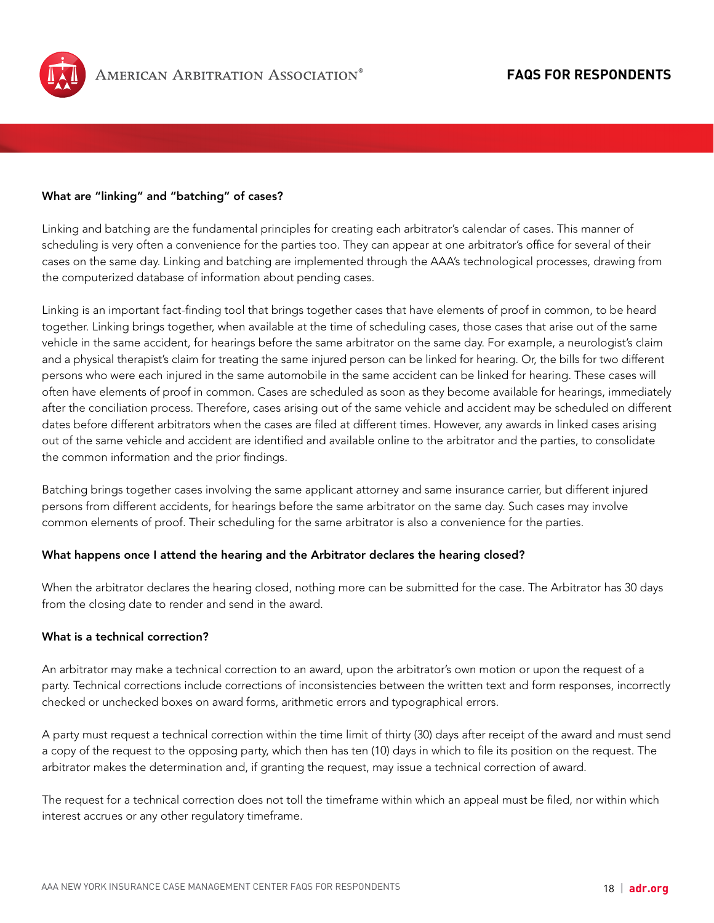

## What are "linking" and "batching" of cases?

Linking and batching are the fundamental principles for creating each arbitrator's calendar of cases. This manner of scheduling is very often a convenience for the parties too. They can appear at one arbitrator's office for several of their cases on the same day. Linking and batching are implemented through the AAA's technological processes, drawing from the computerized database of information about pending cases.

Linking is an important fact-finding tool that brings together cases that have elements of proof in common, to be heard together. Linking brings together, when available at the time of scheduling cases, those cases that arise out of the same vehicle in the same accident, for hearings before the same arbitrator on the same day. For example, a neurologist's claim and a physical therapist's claim for treating the same injured person can be linked for hearing. Or, the bills for two different persons who were each injured in the same automobile in the same accident can be linked for hearing. These cases will often have elements of proof in common. Cases are scheduled as soon as they become available for hearings, immediately after the conciliation process. Therefore, cases arising out of the same vehicle and accident may be scheduled on different dates before different arbitrators when the cases are filed at different times. However, any awards in linked cases arising out of the same vehicle and accident are identified and available online to the arbitrator and the parties, to consolidate the common information and the prior findings.

Batching brings together cases involving the same applicant attorney and same insurance carrier, but different injured persons from different accidents, for hearings before the same arbitrator on the same day. Such cases may involve common elements of proof. Their scheduling for the same arbitrator is also a convenience for the parties.

#### What happens once I attend the hearing and the Arbitrator declares the hearing closed?

When the arbitrator declares the hearing closed, nothing more can be submitted for the case. The Arbitrator has 30 days from the closing date to render and send in the award.

## What is a technical correction?

An arbitrator may make a technical correction to an award, upon the arbitrator's own motion or upon the request of a party. Technical corrections include corrections of inconsistencies between the written text and form responses, incorrectly checked or unchecked boxes on award forms, arithmetic errors and typographical errors.

A party must request a technical correction within the time limit of thirty (30) days after receipt of the award and must send a copy of the request to the opposing party, which then has ten (10) days in which to file its position on the request. The arbitrator makes the determination and, if granting the request, may issue a technical correction of award.

The request for a technical correction does not toll the timeframe within which an appeal must be filed, nor within which interest accrues or any other regulatory timeframe.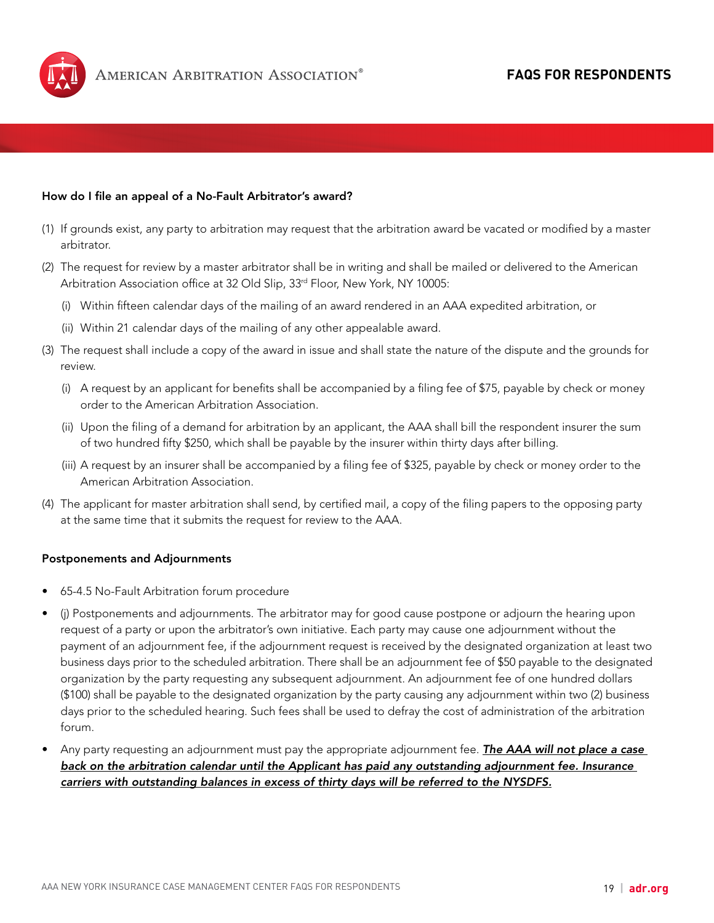

### How do I file an appeal of a No-Fault Arbitrator's award?

- (1) If grounds exist, any party to arbitration may request that the arbitration award be vacated or modified by a master arbitrator.
- (2) The request for review by a master arbitrator shall be in writing and shall be mailed or delivered to the American Arbitration Association office at 32 Old Slip, 33<sup>rd</sup> Floor, New York, NY 10005:
	- (i) Within fifteen calendar days of the mailing of an award rendered in an AAA expedited arbitration, or
	- (ii) Within 21 calendar days of the mailing of any other appealable award.
- (3) The request shall include a copy of the award in issue and shall state the nature of the dispute and the grounds for review.
	- (i) A request by an applicant for benefits shall be accompanied by a filing fee of \$75, payable by check or money order to the American Arbitration Association.
	- (ii) Upon the filing of a demand for arbitration by an applicant, the AAA shall bill the respondent insurer the sum of two hundred fifty \$250, which shall be payable by the insurer within thirty days after billing.
	- (iii) A request by an insurer shall be accompanied by a filing fee of \$325, payable by check or money order to the American Arbitration Association.
- (4) The applicant for master arbitration shall send, by certified mail, a copy of the filing papers to the opposing party at the same time that it submits the request for review to the AAA.

#### Postponements and Adjournments

- 65-4.5 No-Fault Arbitration forum procedure
- (j) Postponements and adjournments. The arbitrator may for good cause postpone or adjourn the hearing upon request of a party or upon the arbitrator's own initiative. Each party may cause one adjournment without the payment of an adjournment fee, if the adjournment request is received by the designated organization at least two business days prior to the scheduled arbitration. There shall be an adjournment fee of \$50 payable to the designated organization by the party requesting any subsequent adjournment. An adjournment fee of one hundred dollars (\$100) shall be payable to the designated organization by the party causing any adjournment within two (2) business days prior to the scheduled hearing. Such fees shall be used to defray the cost of administration of the arbitration forum.
- Any party requesting an adjournment must pay the appropriate adjournment fee. *The AAA will not place a case back on the arbitration calendar until the Applicant has paid any outstanding adjournment fee. Insurance carriers with outstanding balances in excess of thirty days will be referred to the NYSDFS.*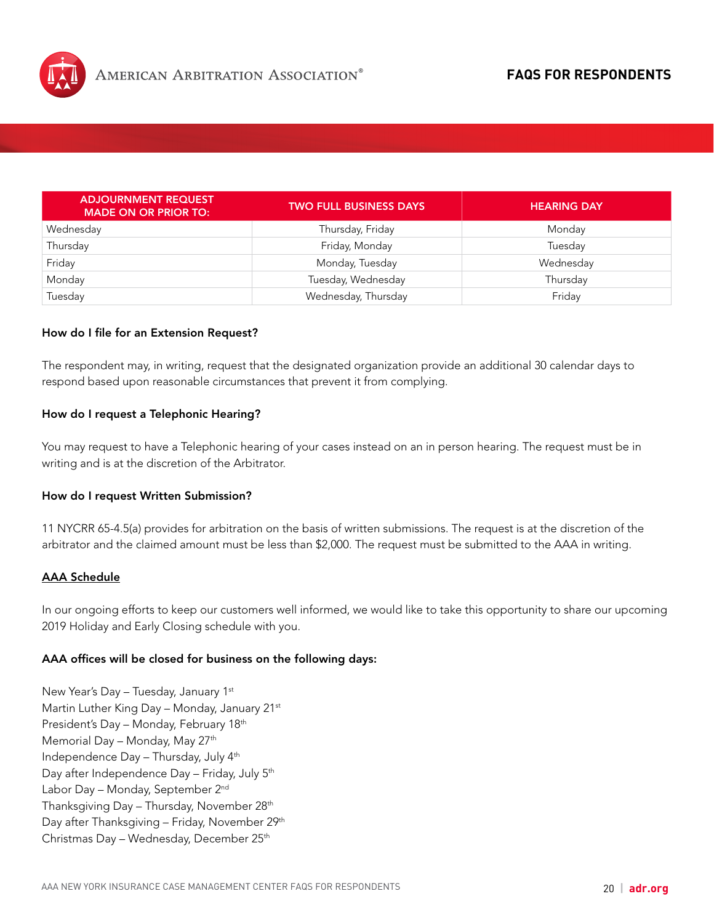

| <b>ADJOURNMENT REQUEST</b><br><b>MADE ON OR PRIOR TO:</b> | <b>TWO FULL BUSINESS DAYS</b> | <b>HEARING DAY</b> |
|-----------------------------------------------------------|-------------------------------|--------------------|
| Wednesday                                                 | Thursday, Friday              | Monday             |
| Thursday                                                  | Friday, Monday                | Tuesday            |
| Friday                                                    | Monday, Tuesday               | Wednesday          |
| Monday                                                    | Tuesday, Wednesday            | Thursday           |
| Tuesday                                                   | Wednesday, Thursday           | Friday             |

#### How do I file for an Extension Request?

The respondent may, in writing, request that the designated organization provide an additional 30 calendar days to respond based upon reasonable circumstances that prevent it from complying.

#### How do I request a Telephonic Hearing?

You may request to have a Telephonic hearing of your cases instead on an in person hearing. The request must be in writing and is at the discretion of the Arbitrator.

#### How do I request Written Submission?

11 NYCRR 65-4.5(a) provides for arbitration on the basis of written submissions. The request is at the discretion of the arbitrator and the claimed amount must be less than \$2,000. The request must be submitted to the AAA in writing.

## AAA Schedule

In our ongoing efforts to keep our customers well informed, we would like to take this opportunity to share our upcoming 2019 Holiday and Early Closing schedule with you.

#### AAA offices will be closed for business on the following days:

New Year's Day - Tuesday, January 1st Martin Luther King Day – Monday, January 21st President's Day – Monday, February 18th Memorial Day - Monday, May 27<sup>th</sup> Independence Day – Thursday, July 4th Day after Independence Day – Friday, July 5th Labor Day - Monday, September 2<sup>nd</sup> Thanksgiving Day – Thursday, November 28th Day after Thanksgiving - Friday, November 29<sup>th</sup> Christmas Day - Wednesday, December 25th